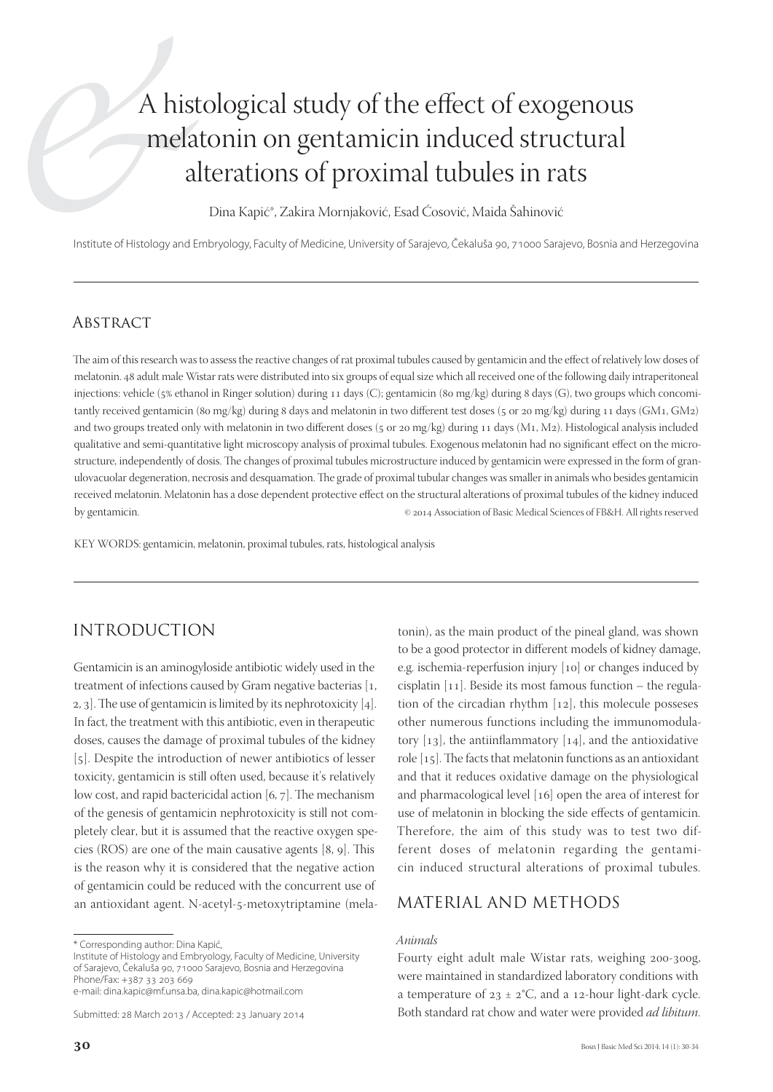# A histological study of the effect of exogenous melatonin on gentamicin induced structural alterations of proximal tubules in rats

Dina Kapić\*, Zakira Mornjaković, Esad Ćosović, Maida Šahinović

Institute of Histology and Embryology, Faculty of Medicine, University of Sarajevo, Čekaluša 90, 71000 Sarajevo, Bosnia and Herzegovina

### **ABSTRACT**

The aim of this research was to assess the reactive changes of rat proximal tubules caused by gentamicin and the effect of relatively low doses of melatonin. 48 adult male Wistar rats were distributed into six groups of equal size which all received one of the following daily intraperitoneal injections: vehicle (5% ethanol in Ringer solution) during 11 days (C); gentamicin (80 mg/kg) during 8 days (G), two groups which concomitantly received gentamicin (80 mg/kg) during 8 days and melatonin in two different test doses (5 or 20 mg/kg) during 11 days (GM1, GM2) and two groups treated only with melatonin in two different doses (5 or 20 mg/kg) during 11 days (M1, M2). Histological analysis included qualitative and semi-quantitative light microscopy analysis of proximal tubules. Exogenous melatonin had no significant effect on the microstructure, independently of dosis. The changes of proximal tubules microstructure induced by gentamicin were expressed in the form of granulovacuolar degeneration, necrosis and desquamation. The grade of proximal tubular changes was smaller in animals who besides gentamicin received melatonin. Melatonin has a dose dependent protective effect on the structural alterations of proximal tubules of the kidney induced by gentamicin. **Exercise 2014** Association of Basic Medical Sciences of FB&H. All rights reserved

KEY WORDS: gentamicin, melatonin, proximal tubules, rats, histological analysis

## INTRODUCTION

Gentamicin is an aminogyloside antibiotic widely used in the treatment of infections caused by Gram negative bacterias  $[1, 1]$ 2, 3. The use of gentamicin is limited by its nephrotoxicity  $[4]$ . In fact, the treatment with this antibiotic, even in therapeutic doses, causes the damage of proximal tubules of the kidney [5]. Despite the introduction of newer antibiotics of lesser toxicity, gentamicin is still often used, because it's relatively low cost, and rapid bactericidal action  $[6, 7]$ . The mechanism of the genesis of gentamicin nephrotoxicity is still not completely clear, but it is assumed that the reactive oxygen species (ROS) are one of the main causative agents  $[8, 9]$ . This is the reason why it is considered that the negative action of gentamicin could be reduced with the concurrent use of an antioxidant agent. N-acetyl-5-metoxytriptamine (mela-

e-mail: dina.kapic@mf.unsa.ba, dina.kapic@hotmail.com

Submitted: 28 March 2013 / Accepted: 23 January 2014

tonin), as the main product of the pineal gland, was shown to be a good protector in different models of kidney damage, e.g. ischemia-reperfusion injury  $[10]$  or changes induced by cisplatin  $[11]$ . Beside its most famous function – the regulation of the circadian rhythm  $[12]$ , this molecule posseses other numerous functions including the immunomodulatory  $[13]$ , the antiinflammatory  $[14]$ , and the antioxidative role  $[15]$ . The facts that melatonin functions as an antioxidant and that it reduces oxidative damage on the physiological and pharmacological level [16] open the area of interest for use of melatonin in blocking the side effects of gentamicin. Therefore, the aim of this study was to test two different doses of melatonin regarding the gentamicin induced structural alterations of proximal tubules.

## MATERIAL AND METHODS

#### *Animals*

Fourty eight adult male Wistar rats, weighing 200-300g, were maintained in standardized laboratory conditions with a temperature of  $23 \pm 2$ °C, and a 12-hour light-dark cycle. Both standard rat chow and water were provided *ad libitum*.

<sup>\*</sup> Corresponding author: Dina Kapić,

Institute of Histology and Embryology, Faculty of Medicine, University of Sarajevo, Čekaluša 90, 71000 Sarajevo, Bosnia and Herzegovina Phone/Fax: +387 33 203 669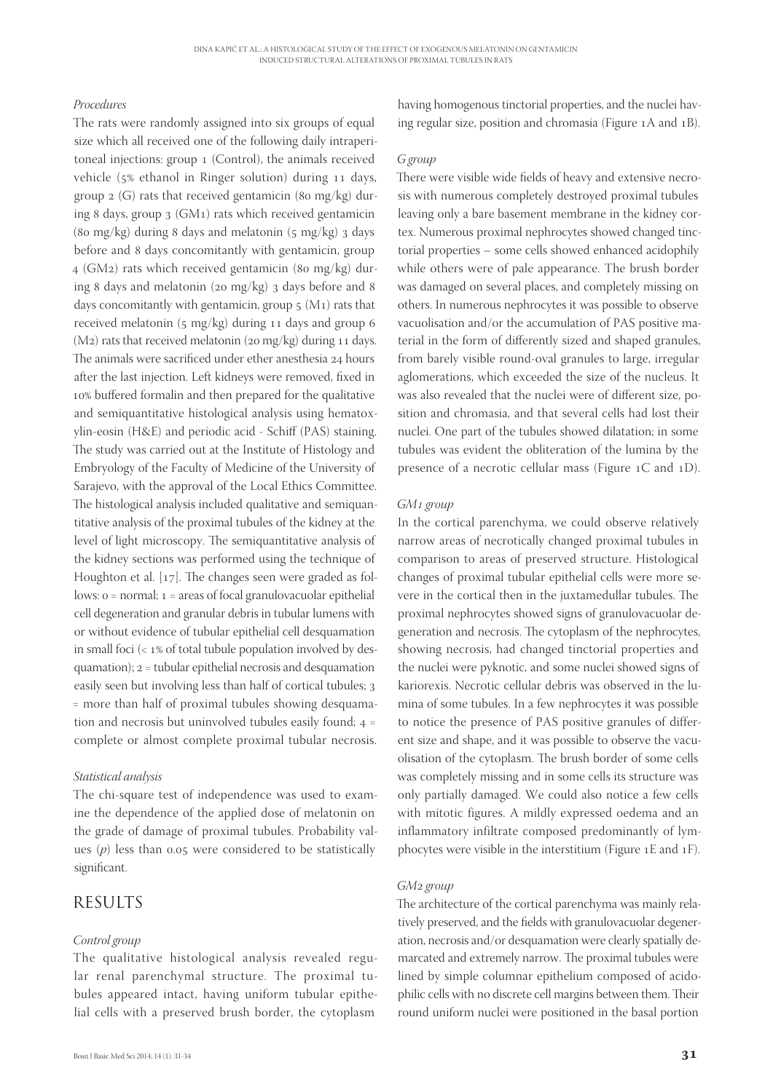#### *Procedures*

The rats were randomly assigned into six groups of equal size which all received one of the following daily intraperitoneal injections: group 1 (Control), the animals received vehicle ( $5\%$  ethanol in Ringer solution) during  $11$  days, group  $2(G)$  rats that received gentamicin (80 mg/kg) during 8 days, group  $3$  (GM<sub>1</sub>) rats which received gentamicin (80 mg/kg) during 8 days and melatonin ( $\frac{1}{5}$  mg/kg) 3 days before and 8 days concomitantly with gentamicin, group  $4$  (GM2) rats which received gentamicin (80 mg/kg) during 8 days and melatonin (20 mg/kg)  $_3$  days before and 8 days concomitantly with gentamicin, group  $5$  (M<sub>1</sub>) rats that received melatonin  $(s \text{ mg/kg})$  during 11 days and group 6  $(M_2)$  rats that received melatonin (20 mg/kg) during 11 days. The animals were sacrificed under ether anesthesia 24 hours after the last injection. Left kidneys were removed, fixed in 10% buffered formalin and then prepared for the qualitative and semiquantitative histological analysis using hematoxylin-eosin (H&E) and periodic acid - Schiff (PAS) staining. The study was carried out at the Institute of Histology and Embryology of the Faculty of Medicine of the University of Sarajevo, with the approval of the Local Ethics Committee. The histological analysis included qualitative and semiquantitative analysis of the proximal tubules of the kidney at the level of light microscopy. The semiquantitative analysis of the kidney sections was performed using the technique of Houghton et al.  $[17]$ . The changes seen were graded as follows:  $o = normal$ ;  $1 = \text{areas of focal granulovacuolar epithelial}$ cell degeneration and granular debris in tubular lumens with or without evidence of tubular epithelial cell desquamation in small foci  $\left($  <  $1\%$  of total tubule population involved by des $quamation$ );  $2 =$  tubular epithelial necrosis and desquamation easily seen but involving less than half of cortical tubules; 3 = more than half of proximal tubules showing desquamation and necrosis but uninvolved tubules easily found;  $4 =$ complete or almost complete proximal tubular necrosis.

#### *Statistical analysis*

The chi-square test of independence was used to examine the dependence of the applied dose of melatonin on the grade of damage of proximal tubules. Probability values  $(p)$  less than 0.05 were considered to be statistically significant.

## RESULTS

#### *Control group*

The qualitative histological analysis revealed regular renal parenchymal structure. The proximal tubules appeared intact, having uniform tubular epithelial cells with a preserved brush border, the cytoplasm

having homogenous tinctorial properties, and the nuclei having regular size, position and chromasia (Figure  $1A$  and  $1B$ ).

#### *G group*

There were visible wide fields of heavy and extensive necrosis with numerous completely destroyed proximal tubules leaving only a bare basement membrane in the kidney cortex. Numerous proximal nephrocytes showed changed tinctorial properties – some cells showed enhanced acidophily while others were of pale appearance. The brush border was damaged on several places, and completely missing on others. In numerous nephrocytes it was possible to observe vacuolisation and/or the accumulation of PAS positive material in the form of differently sized and shaped granules, from barely visible round-oval granules to large, irregular aglomerations, which exceeded the size of the nucleus. It was also revealed that the nuclei were of different size, position and chromasia, and that several cells had lost their nuclei. One part of the tubules showed dilatation; in some tubules was evident the obliteration of the lumina by the presence of a necrotic cellular mass (Figure  $1C$  and  $1D$ ).

#### GM<sub>1</sub> group

In the cortical parenchyma, we could observe relatively narrow areas of necrotically changed proximal tubules in comparison to areas of preserved structure. Histological changes of proximal tubular epithelial cells were more severe in the cortical then in the juxtamedullar tubules. The proximal nephrocytes showed signs of granulovacuolar degeneration and necrosis. The cytoplasm of the nephrocytes, showing necrosis, had changed tinctorial properties and the nuclei were pyknotic, and some nuclei showed signs of kariorexis. Necrotic cellular debris was observed in the lumina of some tubules. In a few nephrocytes it was possible to notice the presence of PAS positive granules of different size and shape, and it was possible to observe the vacuolisation of the cytoplasm. The brush border of some cells was completely missing and in some cells its structure was only partially damaged. We could also notice a few cells with mitotic figures. A mildly expressed oedema and an inflammatory infiltrate composed predominantly of lymphocytes were visible in the interstitium (Figure 1E and 1F).

#### GM<sub>2</sub> group

The architecture of the cortical parenchyma was mainly relatively preserved, and the fields with granulovacuolar degeneration, necrosis and/or desquamation were clearly spatially demarcated and extremely narrow. The proximal tubules were lined by simple columnar epithelium composed of acidophilic cells with no discrete cell margins between them. Their round uniform nuclei were positioned in the basal portion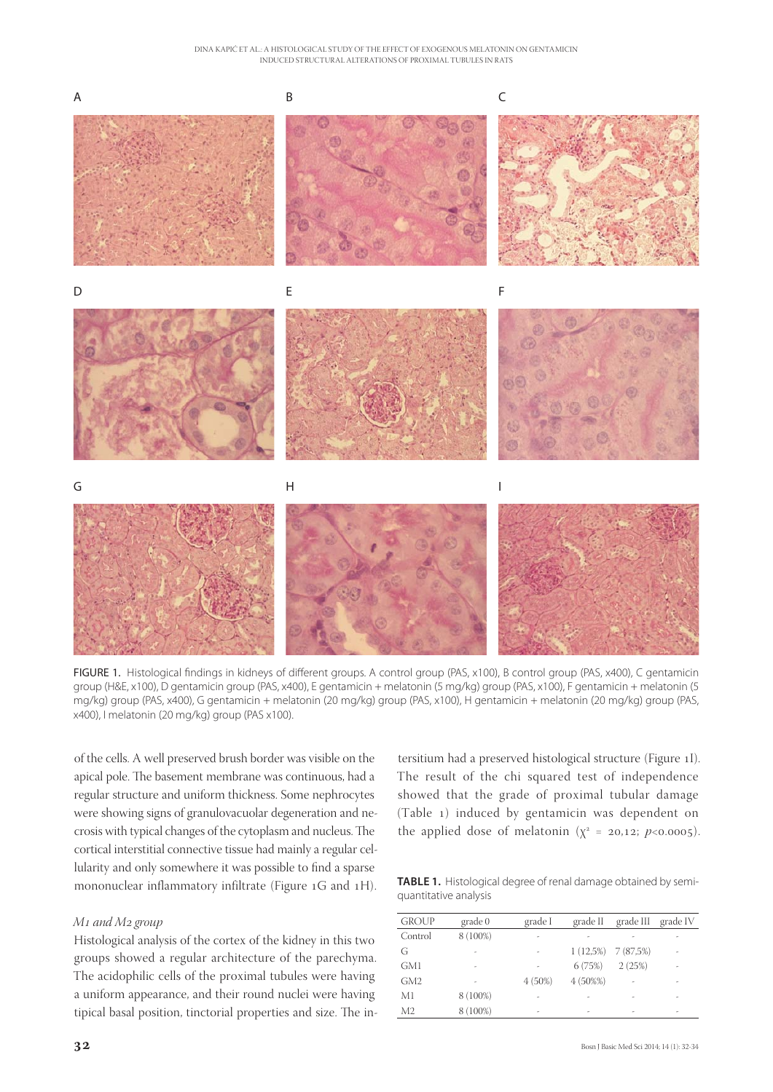

FIGURE 1. Histological findings in kidneys of different groups. A control group (PAS, x100), B control group (PAS, x400), C gentamicin group (H&E, x100), D gentamicin group (PAS, x400), E gentamicin + melatonin (5 mg/kg) group (PAS, x100), F gentamicin + melatonin (5 mg/kg) group (PAS, x400), G gentamicin + melatonin (20 mg/kg) group (PAS, x100), H gentamicin + melatonin (20 mg/kg) group (PAS, x400), I melatonin (20 mg/kg) group (PAS x100).

of the cells. A well preserved brush border was visible on the apical pole. The basement membrane was continuous, had a regular structure and uniform thickness. Some nephrocytes were showing signs of granulovacuolar degeneration and necrosis with typical changes of the cytoplasm and nucleus. The cortical interstitial connective tissue had mainly a regular cellularity and only somewhere it was possible to find a sparse mononuclear inflammatory infiltrate (Figure  $1G$  and  $1H$ ).

#### *M<sub>1</sub>* and *M<sub>2</sub>* group

Histological analysis of the cortex of the kidney in this two groups showed a regular architecture of the parechyma. The acidophilic cells of the proximal tubules were having a uniform appearance, and their round nuclei were having tipical basal position, tinctorial properties and size. The in-

tersitium had a preserved histological structure (Figure I). The result of the chi squared test of independence showed that the grade of proximal tubular damage (Table ) induced by gentamicin was dependent on the applied dose of melatonin  $(\chi^2 = 20.12; p<0.0005)$ .

**TABLE 1.** Histological degree of renal damage obtained by semiquantitative analysis

| <b>GROUP</b>    | grade 0                  | grade I                  | grade II  | grade III             | grade IV |
|-----------------|--------------------------|--------------------------|-----------|-----------------------|----------|
| Control         | 8 (100%)                 | ٠                        |           |                       |          |
| G               | ۰                        |                          |           | $1(12,5\%)$ 7 (87,5%) | ۰        |
| GM1             | ٠                        |                          | 6(75%)    | 2(25%)                |          |
| GM <sub>2</sub> | $\overline{\phantom{m}}$ | 4(50%)                   | $4(50\%)$ |                       |          |
| M1              | 8 (100%)                 |                          |           |                       |          |
| M <sub>2</sub>  | 8 (100%)                 | $\overline{\phantom{a}}$ | ٠         |                       |          |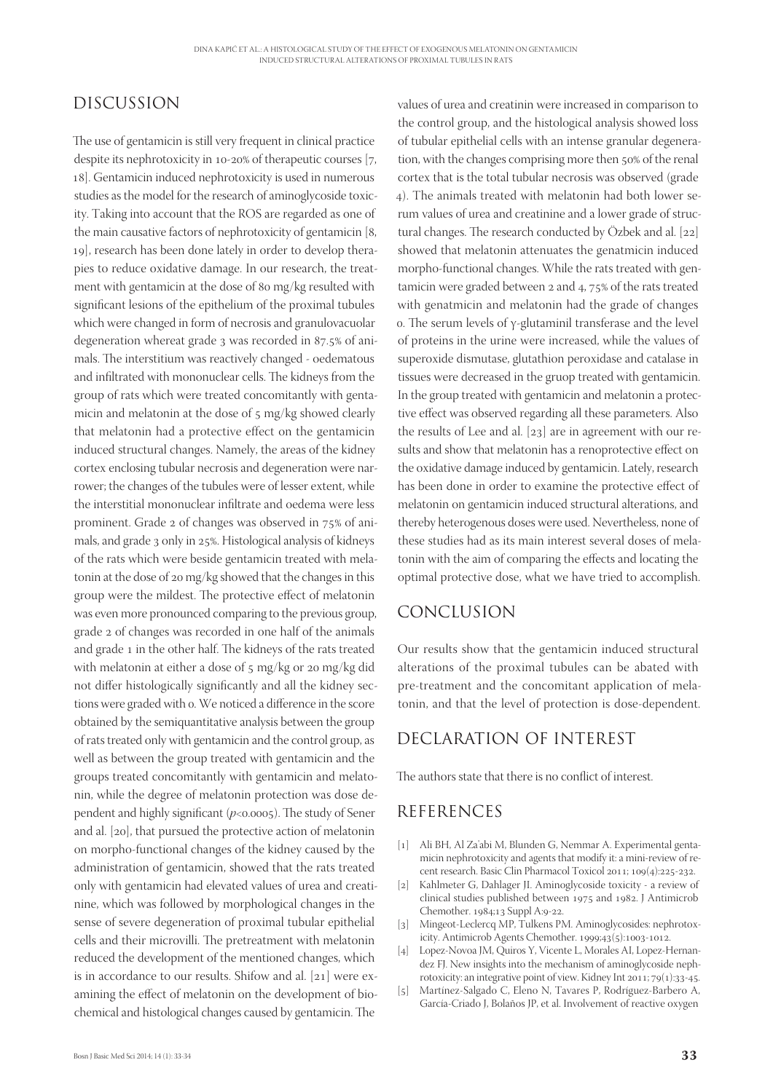# DISCUSSION

The use of gentamicin is still very frequent in clinical practice despite its nephrotoxicity in  $10-20\%$  of therapeutic courses [7, 18]. Gentamicin induced nephrotoxicity is used in numerous studies as the model for the research of aminoglycoside toxicity. Taking into account that the ROS are regarded as one of the main causative factors of nephrotoxicity of gentamicin  $[8, 1]$ 19], research has been done lately in order to develop therapies to reduce oxidative damage. In our research, the treatment with gentamicin at the dose of 80 mg/kg resulted with significant lesions of the epithelium of the proximal tubules which were changed in form of necrosis and granulovacuolar degeneration whereat grade  $_3$  was recorded in 87.5% of animals. The interstitium was reactively changed - oedematous and infiltrated with mononuclear cells. The kidneys from the group of rats which were treated concomitantly with gentamicin and melatonin at the dose of 5 mg/kg showed clearly that melatonin had a protective effect on the gentamicin induced structural changes. Namely, the areas of the kidney cortex enclosing tubular necrosis and degeneration were narrower; the changes of the tubules were of lesser extent, while the interstitial mononuclear infiltrate and oedema were less prominent. Grade  $2$  of changes was observed in  $75\%$  of animals, and grade 3 only in 25%. Histological analysis of kidneys of the rats which were beside gentamicin treated with melatonin at the dose of 20 mg/kg showed that the changes in this group were the mildest. The protective effect of melatonin was even more pronounced comparing to the previous group, grade 2 of changes was recorded in one half of the animals and grade 1 in the other half. The kidneys of the rats treated with melatonin at either a dose of  $5 \text{ mg/kg}$  or  $20 \text{ mg/kg}$  did not differ histologically significantly and all the kidney sections were graded with o. We noticed a difference in the score obtained by the semiquantitative analysis between the group of rats treated only with gentamicin and the control group, as well as between the group treated with gentamicin and the groups treated concomitantly with gentamicin and melatonin, while the degree of melatonin protection was dose dependent and highly significant  $(p<0.0005)$ . The study of Sener and al. [20], that pursued the protective action of melatonin on morpho-functional changes of the kidney caused by the administration of gentamicin, showed that the rats treated only with gentamicin had elevated values of urea and creatinine, which was followed by morphological changes in the sense of severe degeneration of proximal tubular epithelial cells and their microvilli. The pretreatment with melatonin reduced the development of the mentioned changes, which is in accordance to our results. Shifow and al.  $[21]$  were examining the effect of melatonin on the development of biochemical and histological changes caused by gentamicin. The

values of urea and creatinin were increased in comparison to the control group, and the histological analysis showed loss of tubular epithelial cells with an intense granular degeneration, with the changes comprising more then 50% of the renal cortex that is the total tubular necrosis was observed (grade ). The animals treated with melatonin had both lower serum values of urea and creatinine and a lower grade of structural changes. The research conducted by Özbek and al.  $[22]$ showed that melatonin attenuates the genatmicin induced morpho-functional changes. While the rats treated with gentamicin were graded between  $2$  and  $4$ ,  $75%$  of the rats treated with genatmicin and melatonin had the grade of changes o. The serum levels of  $γ$ -glutaminil transferase and the level of proteins in the urine were increased, while the values of superoxide dismutase, glutathion peroxidase and catalase in tissues were decreased in the gruop treated with gentamicin. In the group treated with gentamicin and melatonin a protective effect was observed regarding all these parameters. Also the results of Lee and al.  $[23]$  are in agreement with our results and show that melatonin has a renoprotective effect on the oxidative damage induced by gentamicin. Lately, research has been done in order to examine the protective effect of melatonin on gentamicin induced structural alterations, and thereby heterogenous doses were used. Nevertheless, none of these studies had as its main interest several doses of melatonin with the aim of comparing the effects and locating the optimal protective dose, what we have tried to accomplish.

# CONCLUSION

Our results show that the gentamicin induced structural alterations of the proximal tubules can be abated with pre-treatment and the concomitant application of melatonin, and that the level of protection is dose-dependent.

# DECLARATION OF INTEREST

The authors state that there is no conflict of interest.

# REFERENCES

- [] Ali BH, Al Za'abi M, Blunden G, Nemmar A. Experimental gentamicin nephrotoxicity and agents that modify it: a mini-review of recent research. Basic Clin Pharmacol Toxicol 2011;  $109(4):225-232$ .
- [2] Kahlmeter G, Dahlager JI. Aminoglycoside toxicity a review of clinical studies published between 1975 and 1982. J Antimicrob Chemother. 1984;13 Suppl A:9-22.
- [3] Mingeot-Leclercq MP, Tulkens PM. Aminoglycosides: nephrotoxicity. Antimicrob Agents Chemother. 1999;43(5):1003-1012.
- [4] Lopez-Novoa JM, Quiros Y, Vicente L, Morales AI, Lopez-Hernandez FJ. New insights into the mechanism of aminoglycoside nephrotoxicity: an integrative point of view. Kidney Int 2011;  $79(1):33-45$ .
- [5] Martínez-Salgado C, Eleno N, Tavares P, Rodríguez-Barbero A, García-Criado J, Bolaños JP, et al. Involvement of reactive oxygen